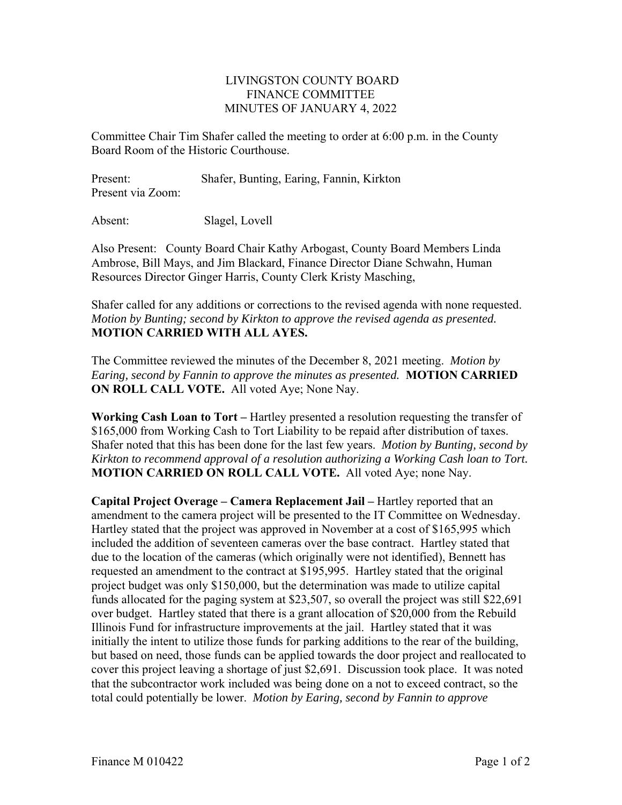## LIVINGSTON COUNTY BOARD FINANCE COMMITTEE MINUTES OF JANUARY 4, 2022

Committee Chair Tim Shafer called the meeting to order at 6:00 p.m. in the County Board Room of the Historic Courthouse.

Present: Shafer, Bunting, Earing, Fannin, Kirkton Present via Zoom:

Absent: Slagel, Lovell

Also Present: County Board Chair Kathy Arbogast, County Board Members Linda Ambrose, Bill Mays, and Jim Blackard, Finance Director Diane Schwahn, Human Resources Director Ginger Harris, County Clerk Kristy Masching,

Shafer called for any additions or corrections to the revised agenda with none requested. *Motion by Bunting; second by Kirkton to approve the revised agenda as presented.*  **MOTION CARRIED WITH ALL AYES.** 

The Committee reviewed the minutes of the December 8, 2021 meeting. *Motion by Earing, second by Fannin to approve the minutes as presented.* **MOTION CARRIED ON ROLL CALL VOTE.** All voted Aye; None Nay.

**Working Cash Loan to Tort –** Hartley presented a resolution requesting the transfer of \$165,000 from Working Cash to Tort Liability to be repaid after distribution of taxes. Shafer noted that this has been done for the last few years. *Motion by Bunting, second by Kirkton to recommend approval of a resolution authorizing a Working Cash loan to Tort.*  **MOTION CARRIED ON ROLL CALL VOTE.** All voted Aye; none Nay.

**Capital Project Overage – Camera Replacement Jail –** Hartley reported that an amendment to the camera project will be presented to the IT Committee on Wednesday. Hartley stated that the project was approved in November at a cost of \$165,995 which included the addition of seventeen cameras over the base contract. Hartley stated that due to the location of the cameras (which originally were not identified), Bennett has requested an amendment to the contract at \$195,995. Hartley stated that the original project budget was only \$150,000, but the determination was made to utilize capital funds allocated for the paging system at \$23,507, so overall the project was still \$22,691 over budget. Hartley stated that there is a grant allocation of \$20,000 from the Rebuild Illinois Fund for infrastructure improvements at the jail. Hartley stated that it was initially the intent to utilize those funds for parking additions to the rear of the building, but based on need, those funds can be applied towards the door project and reallocated to cover this project leaving a shortage of just \$2,691. Discussion took place. It was noted that the subcontractor work included was being done on a not to exceed contract, so the total could potentially be lower. *Motion by Earing, second by Fannin to approve*